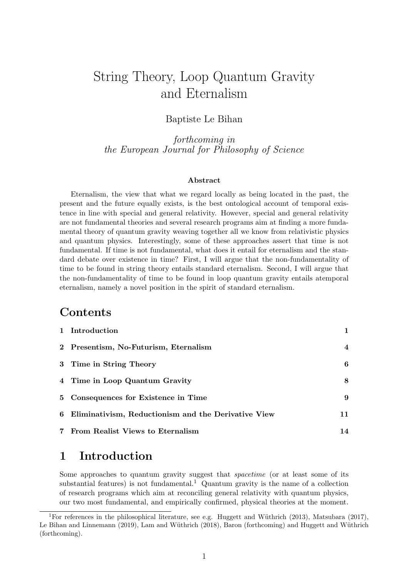# String Theory, Loop Quantum Gravity and Eternalism

#### Baptiste Le Bihan

forthcoming in the European Journal for Philosophy of Science

#### Abstract

Eternalism, the view that what we regard locally as being located in the past, the present and the future equally exists, is the best ontological account of temporal existence in line with special and general relativity. However, special and general relativity are not fundamental theories and several research programs aim at finding a more fundamental theory of quantum gravity weaving together all we know from relativistic physics and quantum physics. Interestingly, some of these approaches assert that time is not fundamental. If time is not fundamental, what does it entail for eternalism and the standard debate over existence in time? First, I will argue that the non-fundamentality of time to be found in string theory entails standard eternalism. Second, I will argue that the non-fundamentality of time to be found in loop quantum gravity entails atemporal eternalism, namely a novel position in the spirit of standard eternalism.

#### **Contents**

| 1 Introduction                                        |    |
|-------------------------------------------------------|----|
| 2 Presentism, No-Futurism, Eternalism                 | 4  |
| 3 Time in String Theory                               | 6  |
| 4 Time in Loop Quantum Gravity                        | 8  |
| 5 Consequences for Existence in Time                  | 9  |
| 6 Eliminativism, Reductionism and the Derivative View | 11 |
| 7 From Realist Views to Eternalism                    | 14 |

#### 1 Introduction

Some approaches to quantum gravity suggest that spacetime (or at least some of its substantial features) is not fundamental.<sup>1</sup> Quantum gravity is the name of a collection of research programs which aim at reconciling general relativity with quantum physics, our two most fundamental, and empirically confirmed, physical theories at the moment.

<sup>&</sup>lt;sup>1</sup>For references in the philosophical literature, see e.g. Huggett and Wüthrich (2013), Matsubara (2017), Le Bihan and Linnemann (2019), Lam and Wüthrich (2018), Baron (forthcoming) and Huggett and Wüthrich (forthcoming).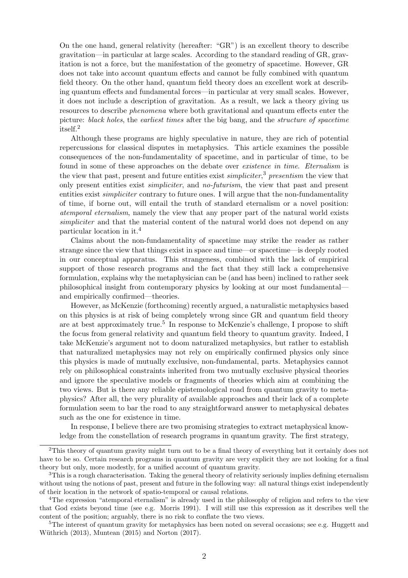On the one hand, general relativity (hereafter: "GR") is an excellent theory to describe gravitation—in particular at large scales. According to the standard reading of GR, gravitation is not a force, but the manifestation of the geometry of spacetime. However, GR does not take into account quantum effects and cannot be fully combined with quantum field theory. On the other hand, quantum field theory does an excellent work at describing quantum effects and fundamental forces—in particular at very small scales. However, it does not include a description of gravitation. As a result, we lack a theory giving us resources to describe phenomena where both gravitational and quantum effects enter the picture: black holes, the earliest times after the big bang, and the structure of spacetime itself.<sup>2</sup>

Although these programs are highly speculative in nature, they are rich of potential repercussions for classical disputes in metaphysics. This article examines the possible consequences of the non-fundamentality of spacetime, and in particular of time, to be found in some of these approaches on the debate over existence in time. Eternalism is the view that past, present and future entities exist simpliciter, <sup>3</sup> presentism the view that only present entities exist simpliciter, and no-futurism, the view that past and present entities exist *simpliciter* contrary to future ones. I will argue that the non-fundamentality of time, if borne out, will entail the truth of standard eternalism or a novel position: atemporal eternalism, namely the view that any proper part of the natural world exists simpliciter and that the material content of the natural world does not depend on any particular location in it.<sup>4</sup>

Claims about the non-fundamentality of spacetime may strike the reader as rather strange since the view that things exist in space and time—or spacetime—is deeply rooted in our conceptual apparatus. This strangeness, combined with the lack of empirical support of those research programs and the fact that they still lack a comprehensive formulation, explains why the metaphysician can be (and has been) inclined to rather seek philosophical insight from contemporary physics by looking at our most fundamental and empirically confirmed—theories.

However, as McKenzie (forthcoming) recently argued, a naturalistic metaphysics based on this physics is at risk of being completely wrong since GR and quantum field theory are at best approximately true.<sup>5</sup> In response to McKenzie's challenge, I propose to shift the focus from general relativity and quantum field theory to quantum gravity. Indeed, I take McKenzie's argument not to doom naturalized metaphysics, but rather to establish that naturalized metaphysics may not rely on empirically confirmed physics only since this physics is made of mutually exclusive, non-fundamental, parts. Metaphysics cannot rely on philosophical constraints inherited from two mutually exclusive physical theories and ignore the speculative models or fragments of theories which aim at combining the two views. But is there any reliable epistemological road from quantum gravity to metaphysics? After all, the very plurality of available approaches and their lack of a complete formulation seem to bar the road to any straightforward answer to metaphysical debates such as the one for existence in time.

In response, I believe there are two promising strategies to extract metaphysical knowledge from the constellation of research programs in quantum gravity. The first strategy,

<sup>2</sup>This theory of quantum gravity might turn out to be a final theory of everything but it certainly does not have to be so. Certain research programs in quantum gravity are very explicit they are not looking for a final theory but only, more modestly, for a unified account of quantum gravity.

<sup>3</sup>This is a rough characterisation. Taking the general theory of relativity seriously implies defining eternalism without using the notions of past, present and future in the following way: all natural things exist independently of their location in the network of spatio-temporal or causal relations.

<sup>&</sup>lt;sup>4</sup>The expression "atemporal eternalism" is already used in the philosophy of religion and refers to the view that God exists beyond time (see e.g. Morris 1991). I will still use this expression as it describes well the content of the position; arguably, there is no risk to conflate the two views.

<sup>5</sup>The interest of quantum gravity for metaphysics has been noted on several occasions; see e.g. Huggett and Wüthrich  $(2013)$ , Muntean  $(2015)$  and Norton  $(2017)$ .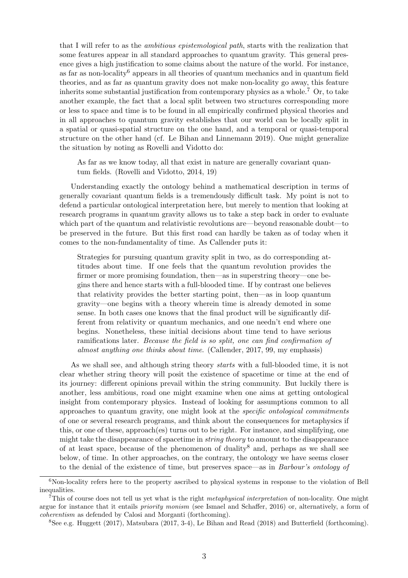that I will refer to as the ambitious epistemological path, starts with the realization that some features appear in all standard approaches to quantum gravity. This general presence gives a high justification to some claims about the nature of the world. For instance, as far as non-locality<sup>6</sup> appears in all theories of quantum mechanics and in quantum field theories, and as far as quantum gravity does not make non-locality go away, this feature inherits some substantial justification from contemporary physics as a whole.<sup>7</sup> Or, to take another example, the fact that a local split between two structures corresponding more or less to space and time is to be found in all empirically confirmed physical theories and in all approaches to quantum gravity establishes that our world can be locally split in a spatial or quasi-spatial structure on the one hand, and a temporal or quasi-temporal structure on the other hand (cf. Le Bihan and Linnemann 2019). One might generalize the situation by noting as Rovelli and Vidotto do:

As far as we know today, all that exist in nature are generally covariant quantum fields. (Rovelli and Vidotto, 2014, 19)

Understanding exactly the ontology behind a mathematical description in terms of generally covariant quantum fields is a tremendously difficult task. My point is not to defend a particular ontological interpretation here, but merely to mention that looking at research programs in quantum gravity allows us to take a step back in order to evaluate which part of the quantum and relativistic revolutions are—beyond reasonable doubt—to be preserved in the future. But this first road can hardly be taken as of today when it comes to the non-fundamentality of time. As Callender puts it:

Strategies for pursuing quantum gravity split in two, as do corresponding attitudes about time. If one feels that the quantum revolution provides the firmer or more promising foundation, then—as in superstring theory—one begins there and hence starts with a full-blooded time. If by contrast one believes that relativity provides the better starting point, then—as in loop quantum gravity—one begins with a theory wherein time is already demoted in some sense. In both cases one knows that the final product will be significantly different from relativity or quantum mechanics, and one needn't end where one begins. Nonetheless, these initial decisions about time tend to have serious ramifications later. Because the field is so split, one can find confirmation of almost anything one thinks about time. (Callender, 2017, 99, my emphasis)

As we shall see, and although string theory starts with a full-blooded time, it is not clear whether string theory will posit the existence of spacetime or time at the end of its journey: different opinions prevail within the string community. But luckily there is another, less ambitious, road one might examine when one aims at getting ontological insight from contemporary physics. Instead of looking for assumptions common to all approaches to quantum gravity, one might look at the specific ontological commitments of one or several research programs, and think about the consequences for metaphysics if this, or one of these, approach(es) turns out to be right. For instance, and simplifying, one might take the disappearance of spacetime in string theory to amount to the disappearance of at least space, because of the phenomenon of duality<sup>8</sup> and, perhaps as we shall see below, of time. In other approaches, on the contrary, the ontology we have seems closer to the denial of the existence of time, but preserves space—as in Barbour's ontology of

<sup>&</sup>lt;sup>6</sup>Non-locality refers here to the property ascribed to physical systems in response to the violation of Bell inequalities.

<sup>7</sup>This of course does not tell us yet what is the right metaphysical interpretation of non-locality. One might argue for instance that it entails *priority monism* (see Ismael and Schaffer, 2016) or, alternatively, a form of coherentism as defended by Calosi and Morganti (forthcoming).

<sup>8</sup>See e.g. Huggett (2017), Matsubara (2017, 3-4), Le Bihan and Read (2018) and Butterfield (forthcoming).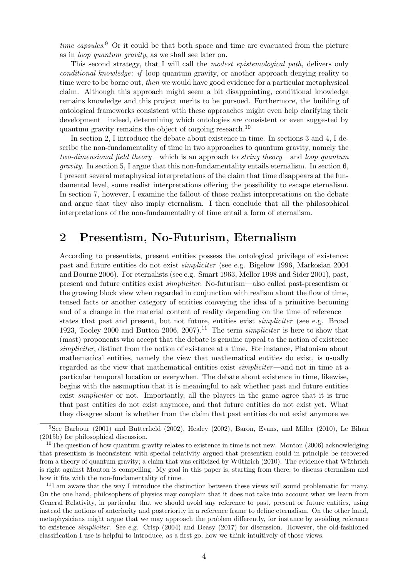time capsules.<sup>9</sup> Or it could be that both space and time are evacuated from the picture as in loop quantum gravity, as we shall see later on.

This second strategy, that I will call the modest epistemological path, delivers only conditional knowledge: if loop quantum gravity, or another approach denying reality to time were to be borne out, then we would have good evidence for a particular metaphysical claim. Although this approach might seem a bit disappointing, conditional knowledge remains knowledge and this project merits to be pursued. Furthermore, the building of ontological frameworks consistent with these approaches might even help clarifying their development—indeed, determining which ontologies are consistent or even suggested by quantum gravity remains the object of ongoing research.<sup>10</sup>

In section 2, I introduce the debate about existence in time. In sections 3 and 4, I describe the non-fundamentality of time in two approaches to quantum gravity, namely the two-dimensional field theory—which is an approach to string theory—and loop quantum gravity. In section 5, I argue that this non-fundamentality entails eternalism. In section 6, I present several metaphysical interpretations of the claim that time disappears at the fundamental level, some realist interpretations offering the possibility to escape eternalism. In section 7, however, I examine the fallout of those realist interpretations on the debate and argue that they also imply eternalism. I then conclude that all the philosophical interpretations of the non-fundamentality of time entail a form of eternalism.

#### 2 Presentism, No-Futurism, Eternalism

According to presentists, present entities possess the ontological privilege of existence: past and future entities do not exist simpliciter (see e.g. Bigelow 1996, Markosian 2004 and Bourne 2006). For eternalists (see e.g. Smart 1963, Mellor 1998 and Sider 2001), past, present and future entities exist simpliciter. No-futurism—also called past-presentism or the growing block view when regarded in conjunction with realism about the flow of time, tensed facts or another category of entities conveying the idea of a primitive becoming and of a change in the material content of reality depending on the time of reference states that past and present, but not future, entities exist simpliciter (see e.g. Broad 1923, Tooley 2000 and Button 2006, 2007).<sup>11</sup> The term *simpliciter* is here to show that (most) proponents who accept that the debate is genuine appeal to the notion of existence simpliciter, distinct from the notion of existence at a time. For instance, Platonism about mathematical entities, namely the view that mathematical entities do exist, is usually regarded as the view that mathematical entities exist simpliciter—and not in time at a particular temporal location or everywhen. The debate about existence in time, likewise, begins with the assumption that it is meaningful to ask whether past and future entities exist *simpliciter* or not. Importantly, all the players in the game agree that it is true that past entities do not exist anymore, and that future entities do not exist yet. What they disagree about is whether from the claim that past entities do not exist anymore we

 $11$ I am aware that the way I introduce the distinction between these views will sound problematic for many. On the one hand, philosophers of physics may complain that it does not take into account what we learn from General Relativity, in particular that we should avoid any reference to past, present or future entities, using instead the notions of anteriority and posteriority in a reference frame to define eternalism. On the other hand, metaphysicians might argue that we may approach the problem differently, for instance by avoiding reference to existence simpliciter. See e.g. Crisp (2004) and Deasy (2017) for discussion. However, the old-fashioned classification I use is helpful to introduce, as a first go, how we think intuitively of those views.

 $9$ See Barbour (2001) and Butterfield (2002), Healey (2002), Baron, Evans, and Miller (2010), Le Bihan (2015b) for philosophical discussion.

<sup>&</sup>lt;sup>10</sup>The question of how quantum gravity relates to existence in time is not new. Monton (2006) acknowledging that presentism is inconsistent with special relativity argued that presentism could in principle be recovered from a theory of quantum gravity; a claim that was criticized by Wüthrich (2010). The evidence that Wüthrich is right against Monton is compelling. My goal in this paper is, starting from there, to discuss eternalism and how it fits with the non-fundamentality of time.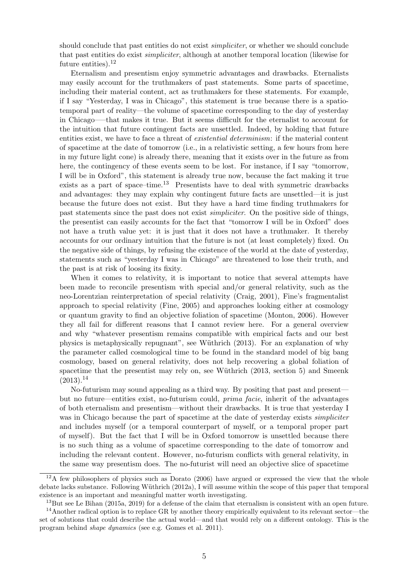should conclude that past entities do not exist *simpliciter*, or whether we should conclude that past entities do exist simpliciter, although at another temporal location (likewise for future entities). $^{12}$ 

Eternalism and presentism enjoy symmetric advantages and drawbacks. Eternalists may easily account for the truthmakers of past statements. Some parts of spacetime, including their material content, act as truthmakers for these statements. For example, if I say "Yesterday, I was in Chicago", this statement is true because there is a spatiotemporal part of reality—the volume of spacetime corresponding to the day of yesterday in Chicago–—that makes it true. But it seems difficult for the eternalist to account for the intuition that future contingent facts are unsettled. Indeed, by holding that future entities exist, we have to face a threat of *existential determinism*: if the material content of spacetime at the date of tomorrow (i.e., in a relativistic setting, a few hours from here in my future light cone) is already there, meaning that it exists over in the future as from here, the contingency of these events seem to be lost. For instance, if I say "tomorrow, I will be in Oxford", this statement is already true now, because the fact making it true exists as a part of space–time.<sup>13</sup> Presentists have to deal with symmetric drawbacks and advantages: they may explain why contingent future facts are unsettled—it is just because the future does not exist. But they have a hard time finding truthmakers for past statements since the past does not exist simpliciter. On the positive side of things, the presentist can easily accounts for the fact that "tomorrow I will be in Oxford" does not have a truth value yet: it is just that it does not have a truthmaker. It thereby accounts for our ordinary intuition that the future is not (at least completely) fixed. On the negative side of things, by refusing the existence of the world at the date of yesterday, statements such as "yesterday I was in Chicago" are threatened to lose their truth, and the past is at risk of loosing its fixity.

When it comes to relativity, it is important to notice that several attempts have been made to reconcile presentism with special and/or general relativity, such as the neo-Lorentzian reinterpretation of special relativity (Craig, 2001), Fine's fragmentalist approach to special relativity (Fine, 2005) and approaches looking either at cosmology or quantum gravity to find an objective foliation of spacetime (Monton, 2006). However they all fail for different reasons that I cannot review here. For a general overview and why "whatever presentism remains compatible with empirical facts and our best physics is metaphysically repugnant", see Wüthrich (2013). For an explanation of why the parameter called cosmological time to be found in the standard model of big bang cosmology, based on general relativity, does not help recovering a global foliation of spacetime that the presentist may rely on, see Wüthrich  $(2013, \text{ section } 5)$  and Smeenk  $(2013).^{14}$ 

No-futurism may sound appealing as a third way. By positing that past and present but no future—entities exist, no-futurism could, prima facie, inherit of the advantages of both eternalism and presentism—without their drawbacks. It is true that yesterday I was in Chicago because the part of spacetime at the date of yesterday exists *simpliciter* and includes myself (or a temporal counterpart of myself, or a temporal proper part of myself). But the fact that I will be in Oxford tomorrow is unsettled because there is no such thing as a volume of spacetime corresponding to the date of tomorrow and including the relevant content. However, no-futurism conflicts with general relativity, in the same way presentism does. The no-futurist will need an objective slice of spacetime

 $12A$  few philosophers of physics such as Dorato (2006) have argued or expressed the view that the whole debate lacks substance. Following Wüthrich (2012a), I will assume within the scope of this paper that temporal existence is an important and meaningful matter worth investigating.

<sup>&</sup>lt;sup>13</sup>But see Le Bihan (2015a, 2019) for a defense of the claim that eternalism is consistent with an open future.

<sup>14</sup>Another radical option is to replace GR by another theory empirically equivalent to its relevant sector—the set of solutions that could describe the actual world—and that would rely on a different ontology. This is the program behind shape dynamics (see e.g. Gomes et al. 2011).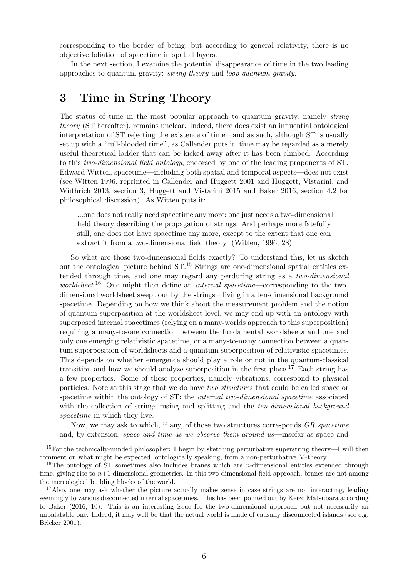corresponding to the border of being; but according to general relativity, there is no objective foliation of spacetime in spatial layers.

In the next section, I examine the potential disappearance of time in the two leading approaches to quantum gravity: string theory and loop quantum gravity.

#### 3 Time in String Theory

The status of time in the most popular approach to quantum gravity, namely *string* theory (ST hereafter), remains unclear. Indeed, there does exist an influential ontological interpretation of ST rejecting the existence of time—and as such, although ST is usually set up with a "full-blooded time", as Callender puts it, time may be regarded as a merely useful theoretical ladder that can be kicked away after it has been climbed. According to this *two-dimensional field ontology*, endorsed by one of the leading proponents of ST, Edward Witten, spacetime—including both spatial and temporal aspects—does not exist (see Witten 1996, reprinted in Callender and Huggett 2001 and Huggett, Vistarini, and Wüthrich 2013, section 3, Huggett and Vistarini 2015 and Baker 2016, section 4.2 for philosophical discussion). As Witten puts it:

...one does not really need spacetime any more; one just needs a two-dimensional field theory describing the propagation of strings. And perhaps more fatefully still, one does not have spacetime any more, except to the extent that one can extract it from a two-dimensional field theory. (Witten, 1996, 28)

So what are those two-dimensional fields exactly? To understand this, let us sketch out the ontological picture behind  $ST^{15}$  Strings are one-dimensional spatial entities extended through time, and one may regard any perduring string as a two-dimensional worldsheet.<sup>16</sup> One might then define an *internal spacetime*—corresponding to the twodimensional worldsheet swept out by the strings—living in a ten-dimensional background spacetime. Depending on how we think about the measurement problem and the notion of quantum superposition at the worldsheet level, we may end up with an ontology with superposed internal spacetimes (relying on a many-worlds approach to this superposition) requiring a many-to-one connection between the fundamental worldsheets and one and only one emerging relativistic spacetime, or a many-to-many connection between a quantum superposition of worldsheets and a quantum superposition of relativistic spacetimes. This depends on whether emergence should play a role or not in the quantum-classical transition and how we should analyze superposition in the first place.<sup>17</sup> Each string has a few properties. Some of these properties, namely vibrations, correspond to physical particles. Note at this stage that we do have two structures that could be called space or spacetime within the ontology of ST: the *internal two-dimensional spacetime* associated with the collection of strings fusing and splitting and the *ten-dimensional background* spacetime in which they live.

Now, we may ask to which, if any, of those two structures corresponds GR spacetime and, by extension, space and time as we observe them around us—insofar as space and

 $15$ For the technically-minded philosopher: I begin by sketching perturbative superstring theory—I will then comment on what might be expected, ontologically speaking, from a non-perturbative M-theory.

<sup>&</sup>lt;sup>16</sup>The ontology of ST sometimes also includes branes which are *n*-dimensional entities extended through time, giving rise to  $n+1$ -dimensional geometries. In this two-dimensional field approach, branes are not among the mereological building blocks of the world.

<sup>&</sup>lt;sup>17</sup>Also, one may ask whether the picture actually makes sense in case strings are not interacting, leading seemingly to various disconnected internal spacetimes. This has been pointed out by Keizo Matsubara according to Baker (2016, 10). This is an interesting issue for the two-dimensional approach but not necessarily an unpalatable one. Indeed, it may well be that the actual world is made of causally disconnected islands (see e.g. Bricker 2001).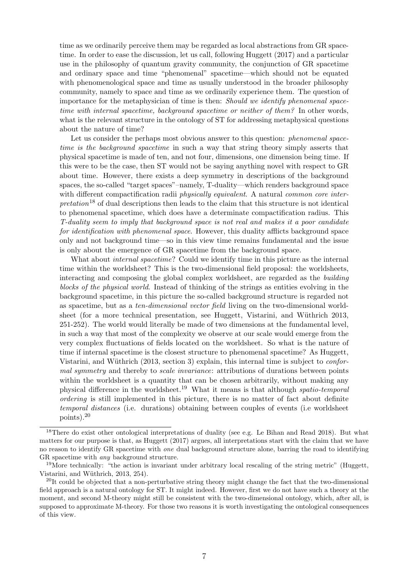time as we ordinarily perceive them may be regarded as local abstractions from GR spacetime. In order to ease the discussion, let us call, following Huggett (2017) and a particular use in the philosophy of quantum gravity community, the conjunction of GR spacetime and ordinary space and time "phenomenal" spacetime—which should not be equated with phenomenological space and time as usually understood in the broader philosophy community, namely to space and time as we ordinarily experience them. The question of importance for the metaphysician of time is then: Should we identify phenomenal spacetime with internal spacetime, background spacetime or neither of them? In other words, what is the relevant structure in the ontology of ST for addressing metaphysical questions about the nature of time?

Let us consider the perhaps most obvious answer to this question: *phenomenal space*time is the background spacetime in such a way that string theory simply asserts that physical spacetime is made of ten, and not four, dimensions, one dimension being time. If this were to be the case, then ST would not be saying anything novel with respect to GR about time. However, there exists a deep symmetry in descriptions of the background spaces, the so-called "target spaces"–namely, T-duality—which renders background space with different compactification radii *physically equivalent*. A natural *common core inter* $pretation<sup>18</sup>$  of dual descriptions then leads to the claim that this structure is not identical to phenomenal spacetime, which does have a determinate compactification radius. This T-duality seem to imply that background space is not real and makes it a poor candidate for identification with phenomenal space. However, this duality afflicts background space only and not background time—so in this view time remains fundamental and the issue is only about the emergence of GR spacetime from the background space.

What about *internal spacetime*? Could we identify time in this picture as the internal time within the worldsheet? This is the two-dimensional field proposal: the worldsheets, interacting and composing the global complex worldsheet, are regarded as the building blocks of the physical world. Instead of thinking of the strings as entities evolving in the background spacetime, in this picture the so-called background structure is regarded not as spacetime, but as a ten-dimensional vector field living on the two-dimensional worldsheet (for a more technical presentation, see Huggett, Vistarini, and Wüthrich 2013, 251-252). The world would literally be made of two dimensions at the fundamental level, in such a way that most of the complexity we observe at our scale would emerge from the very complex fluctuations of fields located on the worldsheet. So what is the nature of time if internal spacetime is the closest structure to phenomenal spacetime? As Huggett, Vistarini, and Wüthrich  $(2013, \text{ section } 3)$  explain, this internal time is subject to *confor*mal symmetry and thereby to *scale invariance*: attributions of durations between points within the worldsheet is a quantity that can be chosen arbitrarily, without making any physical difference in the worldsheet.<sup>19</sup> What it means is that although spatio-temporal ordering is still implemented in this picture, there is no matter of fact about definite temporal distances (i.e. durations) obtaining between couples of events (i.e worldsheet points).<sup>20</sup>

<sup>&</sup>lt;sup>18</sup>There do exist other ontological interpretations of duality (see e.g. Le Bihan and Read 2018). But what matters for our purpose is that, as Huggett (2017) argues, all interpretations start with the claim that we have no reason to identify GR spacetime with one dual background structure alone, barring the road to identifying GR spacetime with *any* background structure.

<sup>&</sup>lt;sup>19</sup>More technically: "the action is invariant under arbitrary local rescaling of the string metric" (Huggett, Vistarini, and Wüthrich, 2013, 254).

 $^{20}$ It could be objected that a non-perturbative string theory might change the fact that the two-dimensional field approach is a natural ontology for ST. It might indeed. However, first we do not have such a theory at the moment, and second M-theory might still be consistent with the two-dimensional ontology, which, after all, is supposed to approximate M-theory. For those two reasons it is worth investigating the ontological consequences of this view.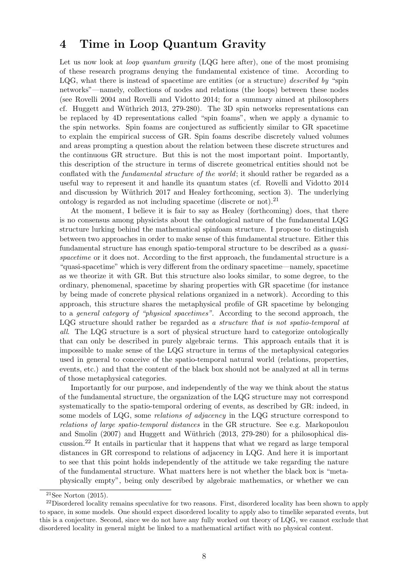#### 4 Time in Loop Quantum Gravity

Let us now look at *loop quantum gravity* (LQG here after), one of the most promising of these research programs denying the fundamental existence of time. According to LQG, what there is instead of spacetime are entities (or a structure) described by "spin networks"—namely, collections of nodes and relations (the loops) between these nodes (see Rovelli 2004 and Rovelli and Vidotto 2014; for a summary aimed at philosophers cf. Huggett and W¨uthrich 2013, 279-280). The 3D spin networks representations can be replaced by 4D representations called "spin foams", when we apply a dynamic to the spin networks. Spin foams are conjectured as sufficiently similar to GR spacetime to explain the empirical success of GR. Spin foams describe discretely valued volumes and areas prompting a question about the relation between these discrete structures and the continuous GR structure. But this is not the most important point. Importantly, this description of the structure in terms of discrete geometrical entities should not be conflated with the *fundamental structure of the world*; it should rather be regarded as a useful way to represent it and handle its quantum states (cf. Rovelli and Vidotto 2014 and discussion by Wüthrich 2017 and Healey forthcoming, section 3). The underlying ontology is regarded as not including spacetime (discrete or not).<sup>21</sup>

At the moment, I believe it is fair to say as Healey (forthcoming) does, that there is no consensus among physicists about the ontological nature of the fundamental LQG structure lurking behind the mathematical spinfoam structure. I propose to distinguish between two approaches in order to make sense of this fundamental structure. Either this fundamental structure has enough spatio-temporal structure to be described as a quasispacetime or it does not. According to the first approach, the fundamental structure is a "quasi-spacetime" which is very different from the ordinary spacetime—namely, spacetime as we theorize it with GR. But this structure also looks similar, to some degree, to the ordinary, phenomenal, spacetime by sharing properties with GR spacetime (for instance by being made of concrete physical relations organized in a network). According to this approach, this structure shares the metaphysical profile of GR spacetime by belonging to a general category of "physical spacetimes". According to the second approach, the LQG structure should rather be regarded as a structure that is not spatio-temporal at all. The LQG structure is a sort of physical structure hard to categorize ontologically that can only be described in purely algebraic terms. This approach entails that it is impossible to make sense of the LQG structure in terms of the metaphysical categories used in general to conceive of the spatio-temporal natural world (relations, properties, events, etc.) and that the content of the black box should not be analyzed at all in terms of those metaphysical categories.

Importantly for our purpose, and independently of the way we think about the status of the fundamental structure, the organization of the LQG structure may not correspond systematically to the spatio-temporal ordering of events, as described by GR: indeed, in some models of LQG, some relations of adjacency in the LQG structure correspond to relations of large spatio-temporal distances in the GR structure. See e.g. Markopoulou and Smolin  $(2007)$  and Huggett and Wüthrich  $(2013, 279-280)$  for a philosophical discussion.<sup>22</sup> It entails in particular that it happens that what we regard as large temporal distances in GR correspond to relations of adjacency in LQG. And here it is important to see that this point holds independently of the attitude we take regarding the nature of the fundamental structure. What matters here is not whether the black box is "metaphysically empty", being only described by algebraic mathematics, or whether we can

 $21$ See Norton (2015).

<sup>&</sup>lt;sup>22</sup>Disordered locality remains speculative for two reasons. First, disordered locality has been shown to apply to space, in some models. One should expect disordered locality to apply also to timelike separated events, but this is a conjecture. Second, since we do not have any fully worked out theory of LQG, we cannot exclude that disordered locality in general might be linked to a mathematical artifact with no physical content.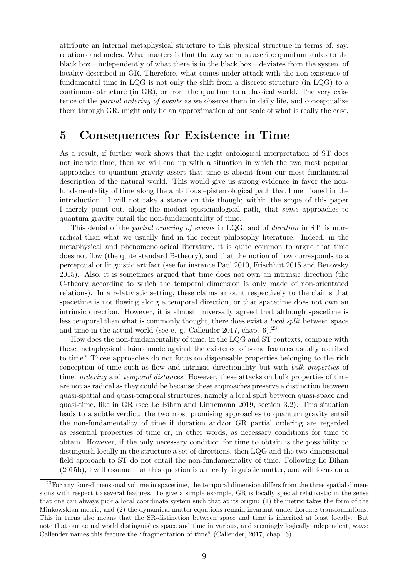attribute an internal metaphysical structure to this physical structure in terms of, say, relations and nodes. What matters is that the way we must ascribe quantum states to the black box—independently of what there is in the black box—deviates from the system of locality described in GR. Therefore, what comes under attack with the non-existence of fundamental time in LQG is not only the shift from a discrete structure (in LQG) to a continuous structure (in GR), or from the quantum to a classical world. The very existence of the *partial ordering of events* as we observe them in daily life, and conceptualize them through GR, might only be an approximation at our scale of what is really the case.

#### 5 Consequences for Existence in Time

As a result, if further work shows that the right ontological interpretation of ST does not include time, then we will end up with a situation in which the two most popular approaches to quantum gravity assert that time is absent from our most fundamental description of the natural world. This would give us strong evidence in favor the nonfundamentality of time along the ambitious epistemological path that I mentioned in the introduction. I will not take a stance on this though; within the scope of this paper I merely point out, along the modest epistemological path, that some approaches to quantum gravity entail the non-fundamentality of time.

This denial of the partial ordering of events in LQG, and of duration in ST, is more radical than what we usually find in the recent philosophy literature. Indeed, in the metaphysical and phenomenological literature, it is quite common to argue that time does not flow (the quite standard B-theory), and that the notion of flow corresponds to a perceptual or linguistic artifact (see for instance Paul 2010, Frischhut 2015 and Benovsky 2015). Also, it is sometimes argued that time does not own an intrinsic direction (the C-theory according to which the temporal dimension is only made of non-orientated relations). In a relativistic setting, these claims amount respectively to the claims that spacetime is not flowing along a temporal direction, or that spacetime does not own an intrinsic direction. However, it is almost universally agreed that although spacetime is less temporal than what is commonly thought, there does exist a local split between space and time in the actual world (see e. g. Callender 2017, chap.  $6$ ).<sup>23</sup>

How does the non-fundamentality of time, in the LQG and ST contexts, compare with these metaphysical claims made against the existence of some features usually ascribed to time? Those approaches do not focus on dispensable properties belonging to the rich conception of time such as flow and intrinsic directionality but with bulk properties of time: *ordering* and *temporal distances*. However, these attacks on bulk properties of time are not as radical as they could be because these approaches preserve a distinction between quasi-spatial and quasi-temporal structures, namely a local split between quasi-space and quasi-time, like in GR (see Le Bihan and Linnemann 2019, section 3.2). This situation leads to a subtle verdict: the two most promising approaches to quantum gravity entail the non-fundamentality of time if duration and/or GR partial ordering are regarded as essential properties of time or, in other words, as necessary conditions for time to obtain. However, if the only necessary condition for time to obtain is the possibility to distinguish locally in the structure a set of directions, then LQG and the two-dimensional field approach to ST do not entail the non-fundamentality of time. Following Le Bihan (2015b), I will assume that this question is a merely linguistic matter, and will focus on a

<sup>&</sup>lt;sup>23</sup>For any four-dimensional volume in spacetime, the temporal dimension differs from the three spatial dimensions with respect to several features. To give a simple example, GR is locally special relativistic in the sense that one can always pick a local coordinate system such that at its origin: (1) the metric takes the form of the Minkowskian metric, and (2) the dynamical matter equations remain invariant under Lorentz transformations. This in turns also means that the SR-distinction between space and time is inherited at least locally. But note that our actual world distinguishes space and time in various, and seemingly logically independent, ways: Callender names this feature the "fragmentation of time" (Callender, 2017, chap. 6).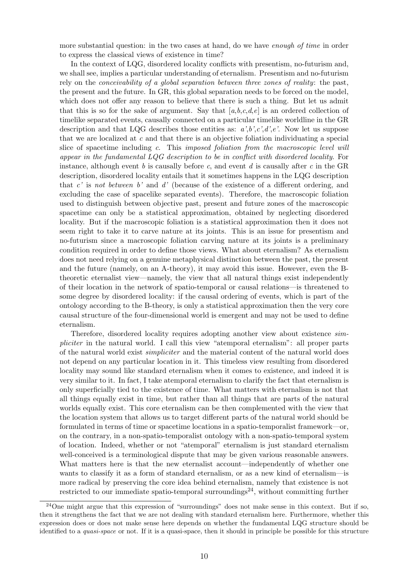more substantial question: in the two cases at hand, do we have *enough of time* in order to express the classical views of existence in time?

In the context of LQG, disordered locality conflicts with presentism, no-futurism and, we shall see, implies a particular understanding of eternalism. Presentism and no-futurism rely on the conceivability of a global separation between three zones of reality: the past, the present and the future. In GR, this global separation needs to be forced on the model, which does not offer any reason to believe that there is such a thing. But let us admit that this is so for the sake of argument. Say that  $[a, b, c, d, e]$  is an ordered collection of timelike separated events, causally connected on a particular timelike worldline in the GR description and that LQG describes those entities as:  $a',b',c',d',e'$ . Now let us suppose that we are localized at c and that there is an objective foliation individuating a special slice of spacetime including c. This imposed foliation from the macroscopic level will appear in the fundamental LQG description to be in conflict with disordered locality. For instance, although event b is causally before c, and event d is causally after c in the GR description, disordered locality entails that it sometimes happens in the LQG description that c' is not between b' and  $d'$  (because of the existence of a different ordering, and excluding the case of spacelike separated events). Therefore, the macroscopic foliation used to distinguish between objective past, present and future zones of the macroscopic spacetime can only be a statistical approximation, obtained by neglecting disordered locality. But if the macroscopic foliation is a statistical approximation then it does not seem right to take it to carve nature at its joints. This is an issue for presentism and no-futurism since a macroscopic foliation carving nature at its joints is a preliminary condition required in order to define those views. What about eternalism? As eternalism does not need relying on a genuine metaphysical distinction between the past, the present and the future (namely, on an A-theory), it may avoid this issue. However, even the Btheoretic eternalist view—namely, the view that all natural things exist independently of their location in the network of spatio-temporal or causal relations—is threatened to some degree by disordered locality: if the causal ordering of events, which is part of the ontology according to the B-theory, is only a statistical approximation then the very core causal structure of the four-dimensional world is emergent and may not be used to define eternalism.

Therefore, disordered locality requires adopting another view about existence simpliciter in the natural world. I call this view "atemporal eternalism": all proper parts of the natural world exist simpliciter and the material content of the natural world does not depend on any particular location in it. This timeless view resulting from disordered locality may sound like standard eternalism when it comes to existence, and indeed it is very similar to it. In fact, I take atemporal eternalism to clarify the fact that eternalism is only superficially tied to the existence of time. What matters with eternalism is not that all things equally exist in time, but rather than all things that are parts of the natural worlds equally exist. This core eternalism can be then complemented with the view that the location system that allows us to target different parts of the natural world should be formulated in terms of time or spacetime locations in a spatio-temporalist framework—or, on the contrary, in a non-spatio-temporalist ontology with a non-spatio-temporal system of location. Indeed, whether or not "atemporal" eternalism is just standard eternalism well-conceived is a terminological dispute that may be given various reasonable answers. What matters here is that the new eternalist account—independently of whether one wants to classify it as a form of standard eternalism, or as a new kind of eternalism—is more radical by preserving the core idea behind eternalism, namely that existence is not restricted to our immediate spatio-temporal surroundings<sup>24</sup>, without committing further

<sup>24</sup>One might argue that this expression of "surroundings" does not make sense in this context. But if so, then it strengthens the fact that we are not dealing with standard eternalism here. Furthermore, whether this expression does or does not make sense here depends on whether the fundamental LQG structure should be identified to a quasi-space or not. If it is a quasi-space, then it should in principle be possible for this structure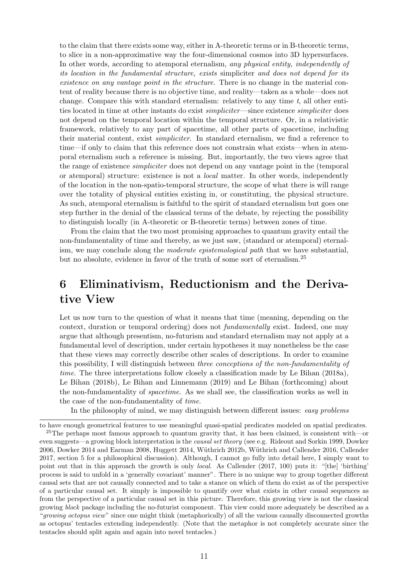to the claim that there exists some way, either in A-theoretic terms or in B-theoretic terms, to slice in a non-approximative way the four-dimensional cosmos into 3D hypersurfaces. In other words, according to atemporal eternalism, any physical entity, independently of its location in the fundamental structure, exists simpliciter and does not depend for its existence on any vantage point in the structure. There is no change in the material content of reality because there is no objective time, and reality—taken as a whole—does not change. Compare this with standard eternalism: relatively to any time  $t$ , all other entities located in time at other instants do exist simpliciter—since existence simpliciter does not depend on the temporal location within the temporal structure. Or, in a relativistic framework, relatively to any part of spacetime, all other parts of spacetime, including their material content, exist *simpliciter*. In standard eternalism, we find a reference to time—if only to claim that this reference does not constrain what exists—when in atemporal eternalism such a reference is missing. But, importantly, the two views agree that the range of existence simpliciter does not depend on any vantage point in the (temporal or atemporal) structure: existence is not a local matter. In other words, independently of the location in the non-spatio-temporal structure, the scope of what there is will range over the totality of physical entities existing in, or constituting, the physical structure. As such, atemporal eternalism is faithful to the spirit of standard eternalism but goes one step further in the denial of the classical terms of the debate, by rejecting the possibility to distinguish locally (in A-theoretic or B-theoretic terms) between zones of time.

From the claim that the two most promising approaches to quantum gravity entail the non-fundamentality of time and thereby, as we just saw, (standard or atemporal) eternalism, we may conclude along the moderate epistemological path that we have substantial, but no absolute, evidence in favor of the truth of some sort of eternalism.<sup>25</sup>

## 6 Eliminativism, Reductionism and the Derivative View

Let us now turn to the question of what it means that time (meaning, depending on the context, duration or temporal ordering) does not fundamentally exist. Indeed, one may argue that although presentism, no-futurism and standard eternalism may not apply at a fundamental level of description, under certain hypotheses it may nonetheless be the case that these views may correctly describe other scales of descriptions. In order to examine this possibility, I will distinguish between three conceptions of the non-fundamentality of time. The three interpretations follow closely a classification made by Le Bihan (2018a), Le Bihan (2018b), Le Bihan and Linnemann (2019) and Le Bihan (forthcoming) about the non-fundamentality of spacetime. As we shall see, the classification works as well in the case of the non-fundamentality of time.

In the philosophy of mind, we may distinguish between different issues: easy problems

to have enough geometrical features to use meaningful quasi-spatial predicates modeled on spatial predicates. <sup>25</sup>The perhaps most famous approach to quantum gravity that, it has been claimed, is consistent with—or even suggests—a growing block interpretation is the *causal set theory* (see e.g. Rideout and Sorkin 1999, Dowker 2006, Dowker 2014 and Earman 2008, Huggett 2014, Wüthrich 2012b, Wüthrich and Callender 2016, Callender 2017, section 5 for a philosophical discussion). Although, I cannot go fully into detail here, I simply want to point out that in this approach the growth is only local. As Callender (2017, 100) puts it: "[the] 'birthing' process is said to unfold in a 'generally covariant' manner". There is no unique way to group together different causal sets that are not causally connected and to take a stance on which of them do exist as of the perspective of a particular causal set. It simply is impossible to quantify over what exists in other causal sequences as from the perspective of a particular causal set in this picture. Therefore, this growing view is not the classical growing block package including the no-futurist component. This view could more adequately be described as a "growing octopus view" since one might think (metaphorically) of all the various causally disconnected growths as octopus' tentacles extending independently. (Note that the metaphor is not completely accurate since the tentacles should split again and again into novel tentacles.)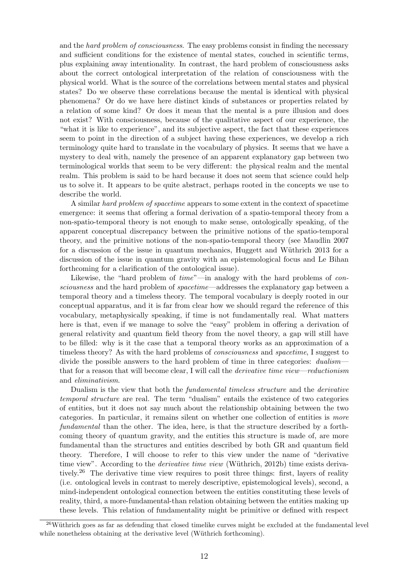and the *hard problem of consciousness*. The easy problems consist in finding the necessary and sufficient conditions for the existence of mental states, couched in scientific terms, plus explaining away intentionality. In contrast, the hard problem of consciousness asks about the correct ontological interpretation of the relation of consciousness with the physical world. What is the source of the correlations between mental states and physical states? Do we observe these correlations because the mental is identical with physical phenomena? Or do we have here distinct kinds of substances or properties related by a relation of some kind? Or does it mean that the mental is a pure illusion and does not exist? With consciousness, because of the qualitative aspect of our experience, the "what it is like to experience", and its subjective aspect, the fact that these experiences seem to point in the direction of a subject having these experiences, we develop a rich terminology quite hard to translate in the vocabulary of physics. It seems that we have a mystery to deal with, namely the presence of an apparent explanatory gap between two terminological worlds that seem to be very different: the physical realm and the mental realm. This problem is said to be hard because it does not seem that science could help us to solve it. It appears to be quite abstract, perhaps rooted in the concepts we use to describe the world.

A similar hard problem of spacetime appears to some extent in the context of spacetime emergence: it seems that offering a formal derivation of a spatio-temporal theory from a non-spatio-temporal theory is not enough to make sense, ontologically speaking, of the apparent conceptual discrepancy between the primitive notions of the spatio-temporal theory, and the primitive notions of the non-spatio-temporal theory (see Maudlin 2007 for a discussion of the issue in quantum mechanics, Huggett and Wüthrich 2013 for a discussion of the issue in quantum gravity with an epistemological focus and Le Bihan forthcoming for a clarification of the ontological issue).

Likewise, the "hard problem of  $time$ "—in analogy with the hard problems of consciousness and the hard problem of *spacetime*—addresses the explanatory gap between a temporal theory and a timeless theory. The temporal vocabulary is deeply rooted in our conceptual apparatus, and it is far from clear how we should regard the reference of this vocabulary, metaphysically speaking, if time is not fundamentally real. What matters here is that, even if we manage to solve the "easy" problem in offering a derivation of general relativity and quantum field theory from the novel theory, a gap will still have to be filled: why is it the case that a temporal theory works as an approximation of a timeless theory? As with the hard problems of *consciousness* and *spacetime*, I suggest to divide the possible answers to the hard problem of time in three categories: dualismthat for a reason that will become clear, I will call the derivative time view—reductionism and eliminativism.

Dualism is the view that both the fundamental timeless structure and the derivative temporal structure are real. The term "dualism" entails the existence of two categories of entities, but it does not say much about the relationship obtaining between the two categories. In particular, it remains silent on whether one collection of entities is more fundamental than the other. The idea, here, is that the structure described by a forthcoming theory of quantum gravity, and the entities this structure is made of, are more fundamental than the structures and entities described by both GR and quantum field theory. Therefore, I will choose to refer to this view under the name of "derivative time view". According to the *derivative time view* (Wüthrich, 2012b) time exists derivatively.<sup>26</sup> The derivative time view requires to posit three things: first, layers of reality (i.e. ontological levels in contrast to merely descriptive, epistemological levels), second, a mind-independent ontological connection between the entities constituting these levels of reality, third, a more-fundamental-than relation obtaining between the entities making up these levels. This relation of fundamentality might be primitive or defined with respect

 $^{26}$ Wüthrich goes as far as defending that closed timelike curves might be excluded at the fundamental level while nonetheless obtaining at the derivative level (Wüthrich forthcoming).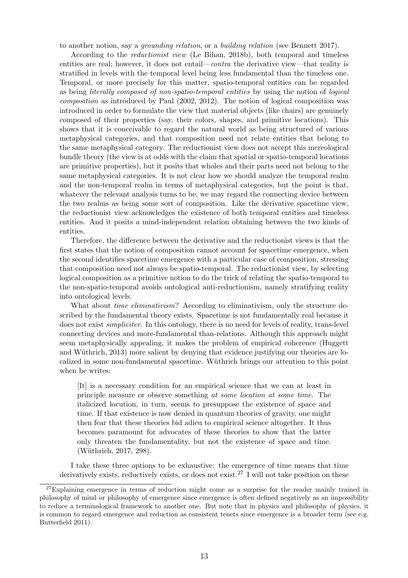to another notion, say a grounding relation, or a building relation (see Bennett 2017).

According to the reductionist view (Le Bihan, 2018b), both temporal and timeless entities are real; however, it does not entail—*contra* the derivative view—that reality is stratified in levels with the temporal level being less fundamental than the timeless one. Temporal, or more precisely for this matter, spatio-temporal entities can be regarded as being literally composed of non-spatio-temporal entities by using the notion of logical composition as introduced by Paul (2002, 2012). The notion of logical composition was introduced in order to formulate the view that material objects (like chairs) are genuinely composed of their properties (say, their colors, shapes, and primitive locations). This shows that it is conceivable to regard the natural world as being structured of various metaphysical categories, and that composition need not relate entities that belong to the same metaphysical category. The reductionist view does not accept this mereological bundle theory (the view is at odds with the claim that spatial or spatio-temporal locations are primitive properties), but it posits that wholes and their parts need not belong to the same metaphysical categories. It is not clear how we should analyze the temporal realm and the non-temporal realm in terms of metaphysical categories, but the point is that, whatever the relevant analysis turns to be, we may regard the connecting device between the two realms as being some sort of composition. Like the derivative spacetime view, the reductionist view acknowledges the existence of both temporal entities and timeless entities. And it posits a mind-independent relation obtaining between the two kinds of entities.

Therefore, the difference between the derivative and the reductionist views is that the first states that the notion of composition cannot account for spacetime emergence, when the second identifies spacetime emergence with a particular case of composition, stressing that composition need not always be spatio-temporal. The reductionist view, by selecting logical composition as a primitive notion to do the trick of relating the spatio-temporal to the non-spatio-temporal avoids ontological anti-reductionism, namely stratifying reality into ontological levels.

What about *time eliminativism*? According to eliminativism, only the structure described by the fundamental theory exists. Spacetime is not fundamentally real because it does not exist *simpliciter*. In this ontology, there is no need for levels of reality, trans-level connecting devices and more-fundamental than-relations. Although this approach might seem metaphysically appealing, it makes the problem of empirical coherence (Huggett and Wüthrich, 2013) more salient by denying that evidence justifying our theories are localized in some non-fundamental spacetime. Wüthrich brings our attention to this point when he writes:

[It] is a necessary condition for an empirical science that we can at least in principle measure or observe something at some location at some time. The italicized locution, in turn, seems to presuppose the existence of space and time. If that existence is now denied in quantum theories of gravity, one might then fear that these theories bid adieu to empirical science altogether. It thus becomes paramount for advocates of these theories to show that the latter only threaten the fundamentality, but not the existence of space and time. (Wüthrich, 2017, 298).

I take these three options to be exhaustive: the emergence of time means that time derivatively exists, reductively exists, or does not exist.<sup>27</sup> I will not take position on these

 $27$ Explaining emergence in terms of reduction might come as a surprise for the reader mainly trained in philosophy of mind or philosophy of emergence since emergence is often defined negatively as an impossibility to reduce a terminological framework to another one. But note that in physics and philosophy of physics, it is common to regard emergence and reduction as consistent tenets since emergence is a broader term (see e.g. Butterfield 2011).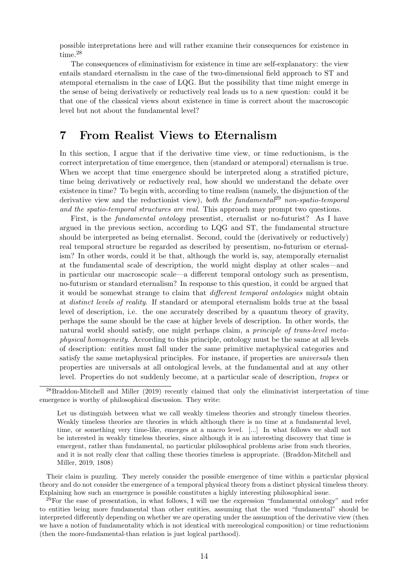possible interpretations here and will rather examine their consequences for existence in time.<sup>28</sup>

The consequences of eliminativism for existence in time are self-explanatory: the view entails standard eternalism in the case of the two-dimensional field approach to ST and atemporal eternalism in the case of LQG. But the possibility that time might emerge in the sense of being derivatively or reductively real leads us to a new question: could it be that one of the classical views about existence in time is correct about the macroscopic level but not about the fundamental level?

#### 7 From Realist Views to Eternalism

In this section, I argue that if the derivative time view, or time reductionism, is the correct interpretation of time emergence, then (standard or atemporal) eternalism is true. When we accept that time emergence should be interpreted along a stratified picture, time being derivatively or reductively real, how should we understand the debate over existence in time? To begin with, according to time realism (namely, the disjunction of the derivative view and the reductionist view), both the fundamental<sup>29</sup> non-spatio-temporal and the spatio-temporal structures are real. This approach may prompt two questions.

First, is the fundamental ontology presentist, eternalist or no-futurist? As I have argued in the previous section, according to LQG and ST, the fundamental structure should be interpreted as being eternalist. Second, could the (derivatively or reductively) real temporal structure be regarded as described by presentism, no-futurism or eternalism? In other words, could it be that, although the world is, say, atemporally eternalist at the fundamental scale of description, the world might display at other scales—and in particular our macroscopic scale—a different temporal ontology such as presentism, no-futurism or standard eternalism? In response to this question, it could be argued that it would be somewhat strange to claim that different temporal ontologies might obtain at distinct levels of reality. If standard or atemporal eternalism holds true at the basal level of description, i.e. the one accurately described by a quantum theory of gravity, perhaps the same should be the case at higher levels of description. In other words, the natural world should satisfy, one might perhaps claim, a principle of trans-level metaphysical homogeneity. According to this principle, ontology must be the same at all levels of description: entities must fall under the same primitive metaphysical categories and satisfy the same metaphysical principles. For instance, if properties are *universals* then properties are universals at all ontological levels, at the fundamental and at any other level. Properties do not suddenly become, at a particular scale of description, tropes or

<sup>28</sup>Braddon-Mitchell and Miller (2019) recently claimed that only the eliminativist interpretation of time emergence is worthy of philosophical discussion. They write:

Let us distinguish between what we call weakly timeless theories and strongly timeless theories. Weakly timeless theories are theories in which although there is no time at a fundamental level, time, or something very time-like, emerges at a macro level. [...] In what follows we shall not be interested in weakly timeless theories, since although it is an interesting discovery that time is emergent, rather than fundamental, no particular philosophical problems arise from such theories, and it is not really clear that calling these theories timeless is appropriate. (Braddon-Mitchell and Miller, 2019, 1808)

Their claim is puzzling. They merely consider the possible emergence of time within a particular physical theory and do not consider the emergence of a temporal physical theory from a distinct physical timeless theory. Explaining how such an emergence is possible constitutes a highly interesting philosophical issue.

<sup>29</sup>For the ease of presentation, in what follows, I will use the expression "fundamental ontology" and refer to entities being more fundamental than other entities, assuming that the word "fundamental" should be interpreted differently depending on whether we are operating under the assumption of the derivative view (then we have a notion of fundamentality which is not identical with mereological composition) or time reductionism (then the more-fundamental-than relation is just logical parthood).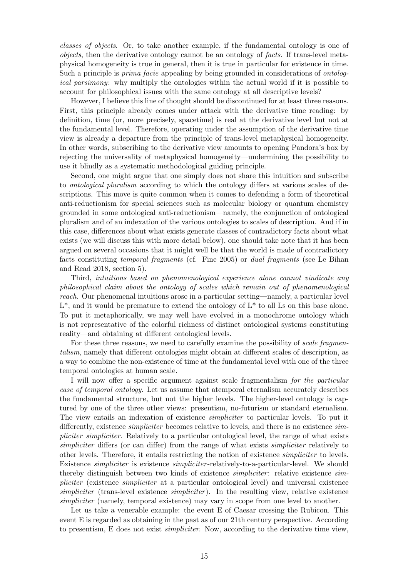classes of objects. Or, to take another example, if the fundamental ontology is one of objects, then the derivative ontology cannot be an ontology of facts. If trans-level metaphysical homogeneity is true in general, then it is true in particular for existence in time. Such a principle is *prima facie* appealing by being grounded in considerations of *ontolog*ical parsimony: why multiply the ontologies within the actual world if it is possible to account for philosophical issues with the same ontology at all descriptive levels?

However, I believe this line of thought should be discontinued for at least three reasons. First, this principle already comes under attack with the derivative time reading: by definition, time (or, more precisely, spacetime) is real at the derivative level but not at the fundamental level. Therefore, operating under the assumption of the derivative time view is already a departure from the principle of trans-level metaphysical homogeneity. In other words, subscribing to the derivative view amounts to opening Pandora's box by rejecting the universality of metaphysical homogeneity—undermining the possibility to use it blindly as a systematic methodological guiding principle.

Second, one might argue that one simply does not share this intuition and subscribe to ontological pluralism according to which the ontology differs at various scales of descriptions. This move is quite common when it comes to defending a form of theoretical anti-reductionism for special sciences such as molecular biology or quantum chemistry grounded in some ontological anti-reductionism—namely, the conjunction of ontological pluralism and of an indexation of the various ontologies to scales of description. And if in this case, differences about what exists generate classes of contradictory facts about what exists (we will discuss this with more detail below), one should take note that it has been argued on several occasions that it might well be that the world is made of contradictory facts constituting temporal fragments (cf. Fine 2005) or dual fragments (see Le Bihan and Read 2018, section 5).

Third, intuitions based on phenomenological experience alone cannot vindicate any philosophical claim about the ontology of scales which remain out of phenomenological reach. Our phenomenal intuitions arose in a particular setting—namely, a particular level  $L^*$ , and it would be premature to extend the ontology of  $L^*$  to all Ls on this base alone. To put it metaphorically, we may well have evolved in a monochrome ontology which is not representative of the colorful richness of distinct ontological systems constituting reality—and obtaining at different ontological levels.

For these three reasons, we need to carefully examine the possibility of *scale fragmen*talism, namely that different ontologies might obtain at different scales of description, as a way to combine the non-existence of time at the fundamental level with one of the three temporal ontologies at human scale.

I will now offer a specific argument against scale fragmentalism for the particular case of temporal ontology. Let us assume that atemporal eternalism accurately describes the fundamental structure, but not the higher levels. The higher-level ontology is captured by one of the three other views: presentism, no-futurism or standard eternalism. The view entails an indexation of existence *simpliciter* to particular levels. To put it differently, existence *simpliciter* becomes relative to levels, and there is no existence *sim*pliciter simpliciter. Relatively to a particular ontological level, the range of what exists simpliciter differs (or can differ) from the range of what exists *simpliciter* relatively to other levels. Therefore, it entails restricting the notion of existence simpliciter to levels. Existence simpliciter is existence simpliciter -relatively-to-a-particular-level. We should thereby distinguish between two kinds of existence *simpliciter*: relative existence *sim*pliciter (existence simpliciter at a particular ontological level) and universal existence  $simpliciter$  (trans-level existence  $simpliciter$ ). In the resulting view, relative existence simpliciter (namely, temporal existence) may vary in scope from one level to another.

Let us take a venerable example: the event E of Caesar crossing the Rubicon. This event E is regarded as obtaining in the past as of our 21th century perspective. According to presentism, E does not exist simpliciter. Now, according to the derivative time view,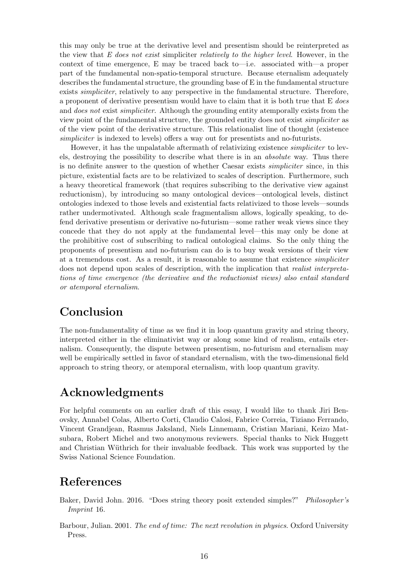this may only be true at the derivative level and presentism should be reinterpreted as the view that  $E$  does not exist simpliciter relatively to the higher level. However, in the context of time emergence, E may be traced back to—i.e. associated with—a proper part of the fundamental non-spatio-temporal structure. Because eternalism adequately describes the fundamental structure, the grounding base of E in the fundamental structure exists *simpliciter*, relatively to any perspective in the fundamental structure. Therefore, a proponent of derivative presentism would have to claim that it is both true that E does and *does not* exist *simpliciter*. Although the grounding entity atemporally exists from the view point of the fundamental structure, the grounded entity does not exist simpliciter as of the view point of the derivative structure. This relationalist line of thought (existence simpliciter is indexed to levels) offers a way out for presentists and no-futurists.

However, it has the unpalatable aftermath of relativizing existence *simpliciter* to levels, destroying the possibility to describe what there is in an absolute way. Thus there is no definite answer to the question of whether Caesar exists simpliciter since, in this picture, existential facts are to be relativized to scales of description. Furthermore, such a heavy theoretical framework (that requires subscribing to the derivative view against reductionism), by introducing so many ontological devices—ontological levels, distinct ontologies indexed to those levels and existential facts relativized to those levels—sounds rather undermotivated. Although scale fragmentalism allows, logically speaking, to defend derivative presentism or derivative no-futurism—some rather weak views since they concede that they do not apply at the fundamental level—this may only be done at the prohibitive cost of subscribing to radical ontological claims. So the only thing the proponents of presentism and no-futurism can do is to buy weak versions of their view at a tremendous cost. As a result, it is reasonable to assume that existence simpliciter does not depend upon scales of description, with the implication that realist interpretations of time emergence (the derivative and the reductionist views) also entail standard or atemporal eternalism.

#### Conclusion

The non-fundamentality of time as we find it in loop quantum gravity and string theory, interpreted either in the eliminativist way or along some kind of realism, entails eternalism. Consequently, the dispute between presentism, no-futurism and eternalism may well be empirically settled in favor of standard eternalism, with the two-dimensional field approach to string theory, or atemporal eternalism, with loop quantum gravity.

### Acknowledgments

For helpful comments on an earlier draft of this essay, I would like to thank Jiri Benovsky, Annabel Colas, Alberto Corti, Claudio Calosi, Fabrice Correia, Tiziano Ferrando, Vincent Grandjean, Rasmus Jaksland, Niels Linnemann, Cristian Mariani, Keizo Matsubara, Robert Michel and two anonymous reviewers. Special thanks to Nick Huggett and Christian Wüthrich for their invaluable feedback. This work was supported by the Swiss National Science Foundation.

#### References

- Baker, David John. 2016. "Does string theory posit extended simples?" Philosopher's Imprint 16.
- Barbour, Julian. 2001. The end of time: The next revolution in physics. Oxford University Press.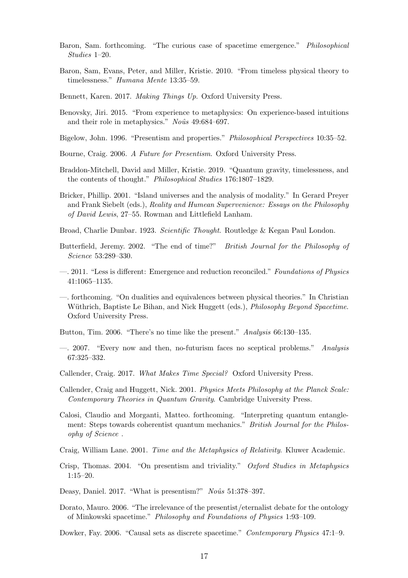- Baron, Sam. forthcoming. "The curious case of spacetime emergence." Philosophical Studies 1–20.
- Baron, Sam, Evans, Peter, and Miller, Kristie. 2010. "From timeless physical theory to timelessness." Humana Mente 13:35–59.
- Bennett, Karen. 2017. Making Things Up. Oxford University Press.
- Benovsky, Jiri. 2015. "From experience to metaphysics: On experience-based intuitions and their role in metaphysics." No $\hat{u}$ s 49:684–697.
- Bigelow, John. 1996. "Presentism and properties." Philosophical Perspectives 10:35–52.
- Bourne, Craig. 2006. A Future for Presentism. Oxford University Press.
- Braddon-Mitchell, David and Miller, Kristie. 2019. "Quantum gravity, timelessness, and the contents of thought." Philosophical Studies 176:1807–1829.
- Bricker, Phillip. 2001. "Island universes and the analysis of modality." In Gerard Preyer and Frank Siebelt (eds.), Reality and Humean Supervenience: Essays on the Philosophy of David Lewis, 27–55. Rowman and Littlefield Lanham.
- Broad, Charlie Dunbar. 1923. Scientific Thought. Routledge & Kegan Paul London.
- Butterfield, Jeremy. 2002. "The end of time?" British Journal for the Philosophy of Science 53:289–330.
- —. 2011. "Less is different: Emergence and reduction reconciled." Foundations of Physics 41:1065–1135.
- —. forthcoming. "On dualities and equivalences between physical theories." In Christian Wüthrich, Baptiste Le Bihan, and Nick Huggett (eds.), *Philosophy Beyond Spacetime.* Oxford University Press.
- Button, Tim. 2006. "There's no time like the present." Analysis 66:130–135.
- —. 2007. "Every now and then, no-futurism faces no sceptical problems." Analysis 67:325–332.
- Callender, Craig. 2017. What Makes Time Special? Oxford University Press.
- Callender, Craig and Huggett, Nick. 2001. Physics Meets Philosophy at the Planck Scale: Contemporary Theories in Quantum Gravity. Cambridge University Press.
- Calosi, Claudio and Morganti, Matteo. forthcoming. "Interpreting quantum entanglement: Steps towards coherentist quantum mechanics." British Journal for the Philosophy of Science .
- Craig, William Lane. 2001. Time and the Metaphysics of Relativity. Kluwer Academic.
- Crisp, Thomas. 2004. "On presentism and triviality." Oxford Studies in Metaphysics 1:15–20.
- Deasy, Daniel. 2017. "What is presentism?" No $\hat{u}$ s 51:378–397.
- Dorato, Mauro. 2006. "The irrelevance of the presentist/eternalist debate for the ontology of Minkowski spacetime." Philosophy and Foundations of Physics 1:93–109.

Dowker, Fay. 2006. "Causal sets as discrete spacetime." Contemporary Physics 47:1–9.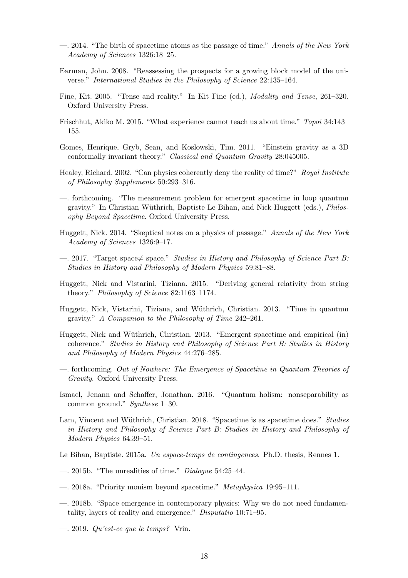- $-$ . 2014. "The birth of spacetime atoms as the passage of time." Annals of the New York Academy of Sciences 1326:18–25.
- Earman, John. 2008. "Reassessing the prospects for a growing block model of the universe." International Studies in the Philosophy of Science 22:135–164.
- Fine, Kit. 2005. "Tense and reality." In Kit Fine (ed.), Modality and Tense, 261–320. Oxford University Press.
- Frischhut, Akiko M. 2015. "What experience cannot teach us about time." Topoi 34:143– 155.
- Gomes, Henrique, Gryb, Sean, and Koslowski, Tim. 2011. "Einstein gravity as a 3D conformally invariant theory." Classical and Quantum Gravity 28:045005.
- Healey, Richard. 2002. "Can physics coherently deny the reality of time?" Royal Institute of Philosophy Supplements 50:293–316.
- —. forthcoming. "The measurement problem for emergent spacetime in loop quantum gravity." In Christian Wüthrich, Baptiste Le Bihan, and Nick Huggett (eds.), *Philos*ophy Beyond Spacetime. Oxford University Press.
- Huggett, Nick. 2014. "Skeptical notes on a physics of passage." Annals of the New York Academy of Sciences 1326:9–17.
- —. 2017. "Target space $\neq$  space." Studies in History and Philosophy of Science Part B: Studies in History and Philosophy of Modern Physics 59:81–88.
- Huggett, Nick and Vistarini, Tiziana. 2015. "Deriving general relativity from string theory." Philosophy of Science 82:1163–1174.
- Huggett, Nick, Vistarini, Tiziana, and Wüthrich, Christian. 2013. "Time in quantum gravity." A Companion to the Philosophy of Time 242–261.
- Huggett, Nick and Wüthrich, Christian. 2013. "Emergent spacetime and empirical (in) coherence." Studies in History and Philosophy of Science Part B: Studies in History and Philosophy of Modern Physics 44:276–285.
- —. forthcoming. Out of Nowhere: The Emergence of Spacetime in Quantum Theories of Gravity. Oxford University Press.
- Ismael, Jenann and Schaffer, Jonathan. 2016. "Quantum holism: nonseparability as common ground." Synthese 1–30.
- Lam, Vincent and Wüthrich, Christian. 2018. "Spacetime is as spacetime does." Studies in History and Philosophy of Science Part B: Studies in History and Philosophy of Modern Physics 64:39–51.
- Le Bihan, Baptiste. 2015a. Un espace-temps de contingences. Ph.D. thesis, Rennes 1.
- —. 2015b. "The unrealities of time." Dialogue 54:25–44.
- —. 2018a. "Priority monism beyond spacetime." Metaphysica 19:95–111.
- —. 2018b. "Space emergence in contemporary physics: Why we do not need fundamentality, layers of reality and emergence." Disputatio 10:71–95.
- —. 2019. Qu'est-ce que le temps? Vrin.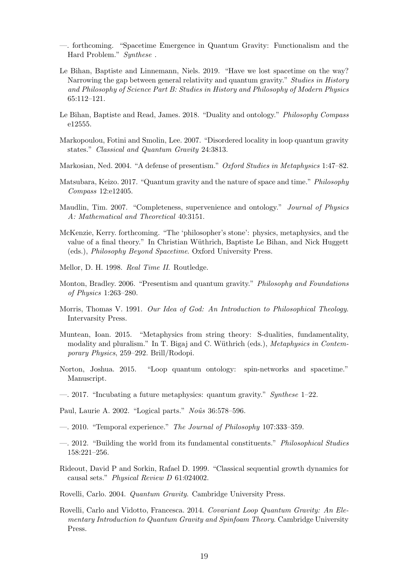- —. forthcoming. "Spacetime Emergence in Quantum Gravity: Functionalism and the Hard Problem." Synthese .
- Le Bihan, Baptiste and Linnemann, Niels. 2019. "Have we lost spacetime on the way? Narrowing the gap between general relativity and quantum gravity." *Studies in History* and Philosophy of Science Part B: Studies in History and Philosophy of Modern Physics 65:112–121.
- Le Bihan, Baptiste and Read, James. 2018. "Duality and ontology." Philosophy Compass e12555.
- Markopoulou, Fotini and Smolin, Lee. 2007. "Disordered locality in loop quantum gravity states." Classical and Quantum Gravity 24:3813.
- Markosian, Ned. 2004. "A defense of presentism." Oxford Studies in Metaphysics 1:47–82.
- Matsubara, Keizo. 2017. "Quantum gravity and the nature of space and time." Philosophy Compass 12:e12405.
- Maudlin, Tim. 2007. "Completeness, supervenience and ontology." Journal of Physics A: Mathematical and Theoretical 40:3151.
- McKenzie, Kerry. forthcoming. "The 'philosopher's stone': physics, metaphysics, and the value of a final theory." In Christian Wüthrich, Baptiste Le Bihan, and Nick Huggett (eds.), Philosophy Beyond Spacetime. Oxford University Press.
- Mellor, D. H. 1998. Real Time II. Routledge.
- Monton, Bradley. 2006. "Presentism and quantum gravity." Philosophy and Foundations of Physics 1:263–280.
- Morris, Thomas V. 1991. Our Idea of God: An Introduction to Philosophical Theology. Intervarsity Press.
- Muntean, Ioan. 2015. "Metaphysics from string theory: S-dualities, fundamentality, modality and pluralism." In T. Bigaj and C. Wüthrich (eds.), *Metaphysics in Contem*porary Physics, 259–292. Brill/Rodopi.
- Norton, Joshua. 2015. "Loop quantum ontology: spin-networks and spacetime." Manuscript.
- —. 2017. "Incubating a future metaphysics: quantum gravity." Synthese  $1-22$ .
- Paul, Laurie A. 2002. "Logical parts." Noûs 36:578–596.
- —. 2010. "Temporal experience." The Journal of Philosophy 107:333–359.
- —. 2012. "Building the world from its fundamental constituents." Philosophical Studies 158:221–256.
- Rideout, David P and Sorkin, Rafael D. 1999. "Classical sequential growth dynamics for causal sets." Physical Review D 61:024002.
- Rovelli, Carlo. 2004. Quantum Gravity. Cambridge University Press.
- Rovelli, Carlo and Vidotto, Francesca. 2014. Covariant Loop Quantum Gravity: An Elementary Introduction to Quantum Gravity and Spinfoam Theory. Cambridge University Press.